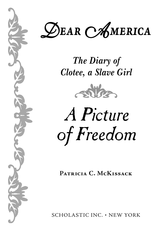D*ear* A*merica*

*The Diary of Clotee, a Slave Girl*



*A Picture of Freedom*

**Patricia C. McKissack**

SCHOLASTIC INC. • NEW YORK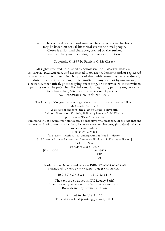While the events described and some of the characters in this book may be based on actual historical events and real people, Clotee is a fictional character, created by the author, and her diary and its epilogue are works of fiction.

Copyright © 1997 by Patricia C. McKissack

All rights reserved. Published by Scholastic Inc., *Publishers since 1920.* scholastic, dear america, and associated logos are trademarks and/or registered trademarks of Scholastic Inc. No part of this publication may be reproduced, stored in a retrieval system, or transmitted in any form or by any means, electronic, mechanical, photocopying, recording, or otherwise, without written permission of the publisher. For information regarding permission, write to Scholastic Inc., Attention: Permissions Department, 557 Broadway, New York, NY 10012.

The Library of Congress has cataloged the earlier hardcover edition as follows: McKissack, Patricia C. A picture of freedom : the diary of Clotee, a slave girl, Belmont Plantation, Virginia, 1859 / by Patricia C. McKissack. p. cm. — (Dear America ; 5) Summary: In 1859 twelve-year-old Clotee, a house slave who must conceal the fact that she can read and write, records in her diary her experiences and her struggle to decide whether to escape to freedom. ISBN 0-590-25988-1 [1. Slavery — Fiction. 2. Underground railroad — Fiction. 3. Afro-Americans — Fiction. 4. Literacy — Fiction. 5. Diaries — Fiction.] I. Title. II. Series. PZ7.M478693Fp 1997  $[Fig] - dc20$  96-25673 C<sub>ID</sub> AC

> Trade Paper-Over-Board edition ISBN 978-0-545-24253-0 Reinforced Library edition ISBN 978-0-545-26555-3

> > 10 9 8 7 6 5 4 3 2 1 11 12 13 14 15

The text type was set in ITC Legacy Serif. The display type was set in Caslon Antique Italic. Book design by Kevin Callahan

Printed in the U.S.A. 23 This edition first printing, January 2011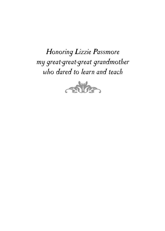## *Honoring Lizzie Passmore my great-great-great grandmother who dared to learn and teach*

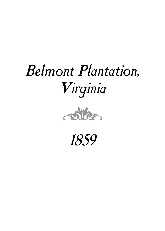# *Belmont Plantation, Virginia*



*1859*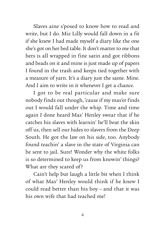Slaves aine s'posed to know how to read and write, but I do. Miz Lilly would fall down in a fit if she knew I had made myself a diary like the one she's got on her bed table. It don't matter to me that hers is all wrapped in fine satin and got ribbons and beads on it and mine is just made up of papers I found in the trash and keeps tied together with a measure of yarn. It's a diary just the same. Mine. And I aim to write in it whenever I get a chance.

I got to be real particular and make sure nobody finds out though, 'cause if my mas'er finds out I would fall under the whip. Time and time again I done heard Mas' Henley swear that if he catches his slaves with learnin' he'll beat the skin off us, then sell our hides to slavers from the Deep South. He got the law on his side, too. Anybody found teachin' a slave in the state of Virginia can be sent to jail. Sure! Wonder why the white folks is so determined to keep us from knowin' things? What are they scared of?

Cain't help but laugh a little bit when I think of what Mas' Henley would think if he knew I could read better than his boy —and that it was his own wife that had teached me!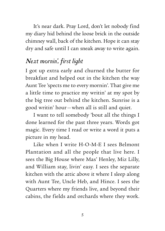It's near dark. Pray Lord, don't let nobody find my diary hid behind the loose brick in the outside chimney wall, back of the kitchen. Hope it can stay dry and safe until I can sneak away to write again.

### *Next mornin', first light*

I got up extra early and churned the butter for breakfast and helped out in the kitchen the way Aunt Tee 'spects me to every mornin'. That give me a little time to practice my writin' at my spot by the big tree out behind the kitchen. Sunrise is a good writin' hour—when all is still and quiet.

I want to tell somebody 'bout all the things I done learned for the past three years. Words got magic. Every time I read or write a word it puts a picture in my head.

Like when I write H-O-M-E I sees Belmont Plantation and all the people that live here. I sees the Big House where Mas' Henley, Miz Lilly, and William stay, livin' easy. I sees the separate kitchen with the attic above it where I sleep along with Aunt Tee, Uncle Heb, and Hince. I sees the Quarters where my friends live, and beyond their cabins, the fields and orchards where they work.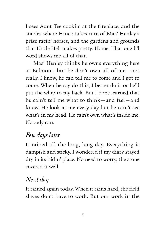I sees Aunt Tee cookin' at the fireplace, and the stables where Hince takes care of Mas' Henley's prize racin' horses, and the gardens and grounds that Uncle Heb makes pretty. Home. That one li'l word shows me all of that.

Mas' Henley thinks he owns everything here at Belmont, but he don't own all of me — not really. I know, he can tell me to come and I got to come. When he say do this, I better do it or he'll put the whip to my back. But I done learned that he cain't tell me what to think — and feel— and know. He look at me every day but he cain't see what's in my head. He cain't own what's inside me. Nobody can.

#### *Few days later*

It rained all the long, long day. Everything is dampish and sticky. I wondered if my diary stayed dry in its hidin' place. No need to worry, the stone covered it well.

#### *Next day*

It rained again today. When it rains hard, the field slaves don't have to work. But our work in the